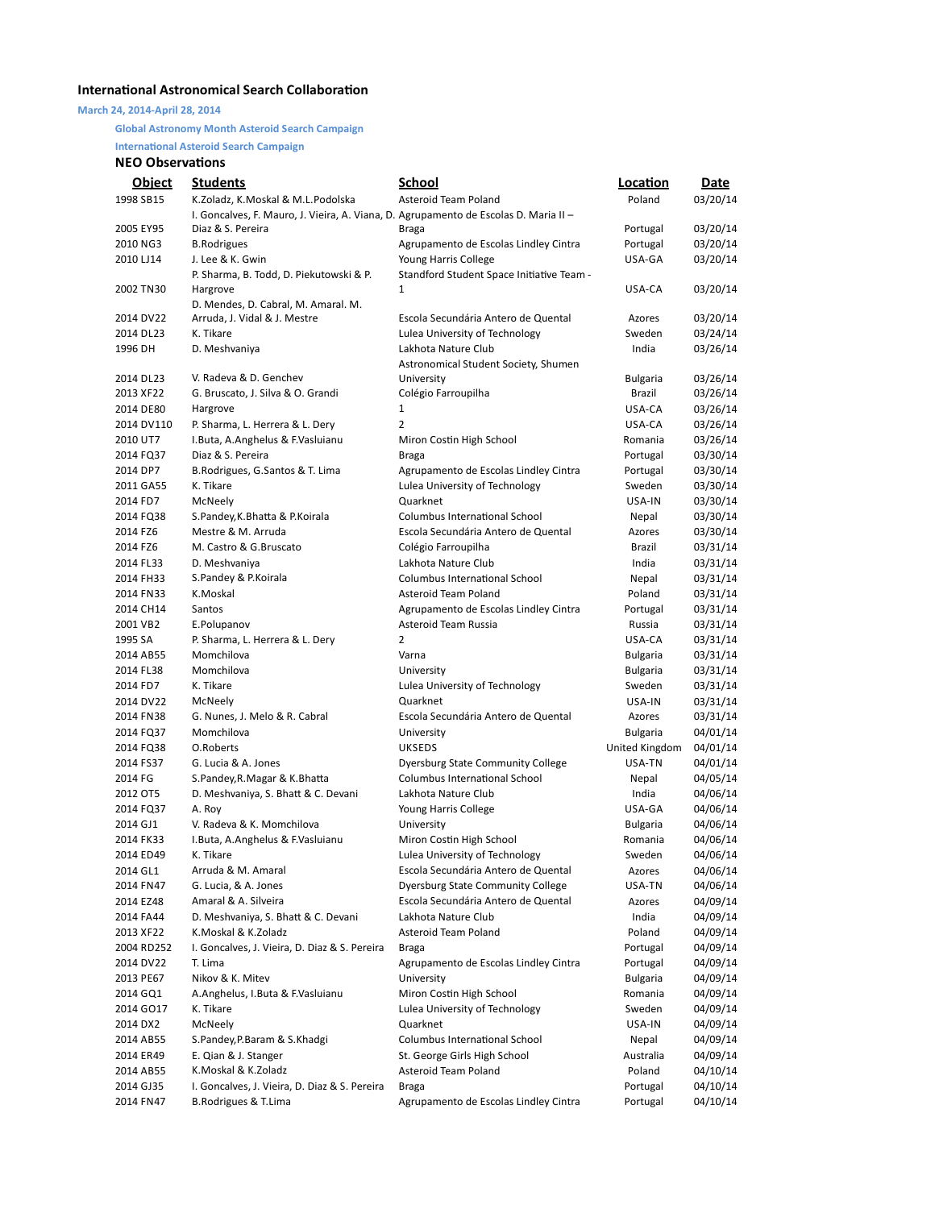## **International Astronomical Search Collaboration**

**March 24, 2014-April 28, 2014**

## **Global Astronomy Month Asteroid Search Campaign**

**International Asteroid Search Campaign** 

## **NEO Observations**

| <b>Object</b> | <b>Students</b>                                                                      | <b>School</b>                             | Location        | <b>Date</b> |
|---------------|--------------------------------------------------------------------------------------|-------------------------------------------|-----------------|-------------|
| 1998 SB15     | K.Zoladz, K.Moskal & M.L.Podolska                                                    | Asteroid Team Poland                      | Poland          | 03/20/14    |
|               | I. Goncalves, F. Mauro, J. Vieira, A. Viana, D. Agrupamento de Escolas D. Maria II - |                                           |                 |             |
| 2005 EY95     | Diaz & S. Pereira                                                                    | Braga                                     | Portugal        | 03/20/14    |
| 2010 NG3      | <b>B.Rodrigues</b>                                                                   | Agrupamento de Escolas Lindley Cintra     | Portugal        | 03/20/14    |
| 2010 LJ14     | J. Lee & K. Gwin                                                                     | Young Harris College                      | USA-GA          | 03/20/14    |
|               | P. Sharma, B. Todd, D. Piekutowski & P.                                              | Standford Student Space Initiative Team - |                 |             |
| 2002 TN30     | Hargrove                                                                             | 1                                         | USA-CA          | 03/20/14    |
|               | D. Mendes, D. Cabral, M. Amaral. M.                                                  |                                           |                 |             |
| 2014 DV22     | Arruda, J. Vidal & J. Mestre                                                         | Escola Secundária Antero de Quental       | Azores          | 03/20/14    |
| 2014 DL23     | K. Tikare                                                                            | Lulea University of Technology            | Sweden          | 03/24/14    |
| 1996 DH       | D. Meshvaniya                                                                        | Lakhota Nature Club                       | India           | 03/26/14    |
|               |                                                                                      | Astronomical Student Society, Shumen      |                 |             |
| 2014 DL23     | V. Radeva & D. Genchev                                                               | University                                | <b>Bulgaria</b> | 03/26/14    |
| 2013 XF22     | G. Bruscato, J. Silva & O. Grandi                                                    | Colégio Farroupilha                       | Brazil          | 03/26/14    |
| 2014 DE80     | Hargrove                                                                             | $\mathbf{1}$                              | USA-CA          | 03/26/14    |
| 2014 DV110    | P. Sharma, L. Herrera & L. Dery                                                      | 2                                         | USA-CA          | 03/26/14    |
| 2010 UT7      | I.Buta, A.Anghelus & F.Vasluianu                                                     | Miron Costin High School                  | Romania         | 03/26/14    |
| 2014 FQ37     | Diaz & S. Pereira                                                                    | Braga                                     | Portugal        | 03/30/14    |
| 2014 DP7      | B.Rodrigues, G.Santos & T. Lima                                                      | Agrupamento de Escolas Lindley Cintra     | Portugal        | 03/30/14    |
| 2011 GA55     | K. Tikare                                                                            | Lulea University of Technology            | Sweden          | 03/30/14    |
| 2014 FD7      | McNeely                                                                              | Quarknet                                  | USA-IN          | 03/30/14    |
| 2014 FQ38     |                                                                                      | <b>Columbus International School</b>      |                 | 03/30/14    |
|               | S.Pandey, K.Bhatta & P.Koirala                                                       |                                           | Nepal           |             |
| 2014 FZ6      | Mestre & M. Arruda                                                                   | Escola Secundária Antero de Quental       | Azores          | 03/30/14    |
| 2014 FZ6      | M. Castro & G. Bruscato                                                              | Colégio Farroupilha                       | Brazil          | 03/31/14    |
| 2014 FL33     | D. Meshvaniya                                                                        | Lakhota Nature Club                       | India           | 03/31/14    |
| 2014 FH33     | S.Pandey & P.Koirala                                                                 | <b>Columbus International School</b>      | Nepal           | 03/31/14    |
| 2014 FN33     | K.Moskal                                                                             | Asteroid Team Poland                      | Poland          | 03/31/14    |
| 2014 CH14     | Santos                                                                               | Agrupamento de Escolas Lindley Cintra     | Portugal        | 03/31/14    |
| 2001 VB2      | E.Polupanov                                                                          | Asteroid Team Russia                      | Russia          | 03/31/14    |
| 1995 SA       | P. Sharma, L. Herrera & L. Dery                                                      | 2                                         | USA-CA          | 03/31/14    |
| 2014 AB55     | Momchilova                                                                           | Varna                                     | <b>Bulgaria</b> | 03/31/14    |
| 2014 FL38     | Momchilova                                                                           | University                                | <b>Bulgaria</b> | 03/31/14    |
| 2014 FD7      | K. Tikare                                                                            | Lulea University of Technology            | Sweden          | 03/31/14    |
| 2014 DV22     | McNeely                                                                              | Quarknet                                  | USA-IN          | 03/31/14    |
| 2014 FN38     | G. Nunes, J. Melo & R. Cabral                                                        | Escola Secundária Antero de Quental       | Azores          | 03/31/14    |
| 2014 FQ37     | Momchilova                                                                           | University                                | <b>Bulgaria</b> | 04/01/14    |
| 2014 FQ38     | O.Roberts                                                                            | <b>UKSEDS</b>                             | United Kingdom  | 04/01/14    |
| 2014 FS37     | G. Lucia & A. Jones                                                                  | <b>Dyersburg State Community College</b>  | USA-TN          | 04/01/14    |
| 2014 FG       | S.Pandey, R. Magar & K. Bhatta                                                       | Columbus International School             | Nepal           | 04/05/14    |
| 2012 OT5      | D. Meshvaniya, S. Bhatt & C. Devani                                                  | Lakhota Nature Club                       | India           | 04/06/14    |
| 2014 FQ37     | A. Roy                                                                               | Young Harris College                      | USA-GA          | 04/06/14    |
| 2014 GJ1      | V. Radeva & K. Momchilova                                                            | University                                | <b>Bulgaria</b> | 04/06/14    |
| 2014 FK33     | I. Buta, A. Anghelus & F. Vasluianu                                                  | Miron Costin High School                  | Romania         | 04/06/14    |
| 2014 ED49     | K. Tikare                                                                            | Lulea University of Technology            | Sweden          | 04/06/14    |
| 2014 GL1      | Arruda & M. Amaral                                                                   | Escola Secundária Antero de Quental       | Azores          | 04/06/14    |
| 2014 FN47     | G. Lucia, & A. Jones                                                                 | <b>Dyersburg State Community College</b>  | USA-TN          | 04/06/14    |
| 2014 EZ48     | Amaral & A. Silveira                                                                 | Escola Secundária Antero de Quental       | Azores          | 04/09/14    |
| 2014 FA44     | D. Meshvaniya, S. Bhatt & C. Devani                                                  | Lakhota Nature Club                       | India           | 04/09/14    |
| 2013 XF22     | K.Moskal & K.Zoladz                                                                  | Asteroid Team Poland                      | Poland          | 04/09/14    |
| 2004 RD252    | I. Goncalves, J. Vieira, D. Diaz & S. Pereira                                        | Braga                                     | Portugal        | 04/09/14    |
| 2014 DV22     | T. Lima                                                                              | Agrupamento de Escolas Lindley Cintra     | Portugal        | 04/09/14    |
| 2013 PE67     | Nikov & K. Mitev                                                                     | University                                | <b>Bulgaria</b> | 04/09/14    |
| 2014 GQ1      | A.Anghelus, I.Buta & F.Vasluianu                                                     | Miron Costin High School                  | Romania         | 04/09/14    |
| 2014 GO17     | K. Tikare                                                                            | Lulea University of Technology            | Sweden          | 04/09/14    |
| 2014 DX2      | McNeely                                                                              | Quarknet                                  | USA-IN          | 04/09/14    |
| 2014 AB55     | S.Pandey, P.Baram & S.Khadgi                                                         | Columbus International School             | Nepal           | 04/09/14    |
| 2014 ER49     | E. Qian & J. Stanger                                                                 | St. George Girls High School              | Australia       | 04/09/14    |
|               | K.Moskal & K.Zoladz                                                                  | Asteroid Team Poland                      | Poland          |             |
| 2014 AB55     |                                                                                      |                                           |                 | 04/10/14    |
| 2014 GJ35     | I. Goncalves, J. Vieira, D. Diaz & S. Pereira                                        | <b>Braga</b>                              | Portugal        | 04/10/14    |
| 2014 FN47     | B.Rodrigues & T.Lima                                                                 | Agrupamento de Escolas Lindley Cintra     | Portugal        | 04/10/14    |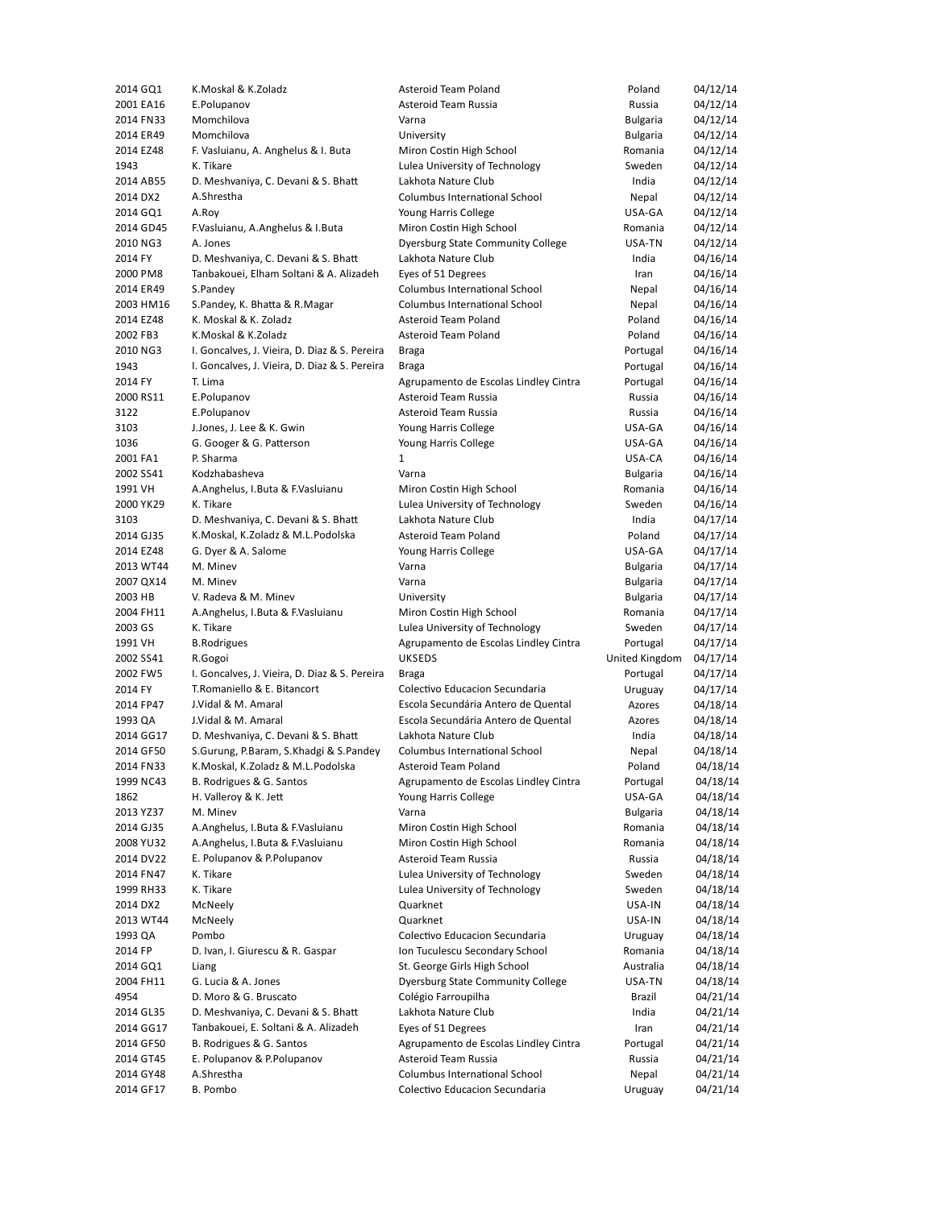| 2014 GQ1  | K.Moskal & K.Zoladz                           | Asteroid Team Poland                  | Poland          | 04/12/14 |
|-----------|-----------------------------------------------|---------------------------------------|-----------------|----------|
| 2001 EA16 | E.Polupanov                                   | Asteroid Team Russia                  | Russia          | 04/12/14 |
| 2014 FN33 | Momchilova                                    | Varna                                 | Bulgaria        | 04/12/14 |
| 2014 ER49 | Momchilova                                    | University                            | <b>Bulgaria</b> | 04/12/14 |
| 2014 EZ48 | F. Vasluianu, A. Anghelus & I. Buta           | Miron Costin High School              | Romania         | 04/12/14 |
| 1943      | K. Tikare                                     | Lulea University of Technology        | Sweden          | 04/12/14 |
| 2014 AB55 | D. Meshvaniya, C. Devani & S. Bhatt           | Lakhota Nature Club                   | India           | 04/12/14 |
| 2014 DX2  | A.Shrestha                                    | Columbus International School         |                 |          |
|           |                                               |                                       | Nepal           | 04/12/14 |
| 2014 GQ1  | A.Roy                                         | Young Harris College                  | USA-GA          | 04/12/14 |
| 2014 GD45 | F.Vasluianu, A.Anghelus & I.Buta              | Miron Costin High School              | Romania         | 04/12/14 |
| 2010 NG3  | A. Jones                                      | Dyersburg State Community College     | USA-TN          | 04/12/14 |
| 2014 FY   | D. Meshvaniya, C. Devani & S. Bhatt           | Lakhota Nature Club                   | India           | 04/16/14 |
| 2000 PM8  | Tanbakouei, Elham Soltani & A. Alizadeh       | Eyes of 51 Degrees                    | Iran            | 04/16/14 |
| 2014 ER49 | S.Pandey                                      | Columbus International School         | Nepal           | 04/16/14 |
| 2003 HM16 | S.Pandey, K. Bhatta & R.Magar                 | Columbus International School         | Nepal           | 04/16/14 |
| 2014 EZ48 | K. Moskal & K. Zoladz                         | Asteroid Team Poland                  | Poland          | 04/16/14 |
| 2002 FB3  | K.Moskal & K.Zoladz                           | Asteroid Team Poland                  | Poland          | 04/16/14 |
| 2010 NG3  | I. Goncalves, J. Vieira, D. Diaz & S. Pereira | Braga                                 | Portugal        | 04/16/14 |
| 1943      | I. Goncalves, J. Vieira, D. Diaz & S. Pereira | <b>Braga</b>                          | Portugal        | 04/16/14 |
| 2014 FY   | T. Lima                                       | Agrupamento de Escolas Lindley Cintra | Portugal        | 04/16/14 |
| 2000 RS11 | E.Polupanov                                   | Asteroid Team Russia                  | Russia          | 04/16/14 |
| 3122      | E.Polupanov                                   | Asteroid Team Russia                  |                 |          |
|           |                                               |                                       | Russia          | 04/16/14 |
| 3103      | J.Jones, J. Lee & K. Gwin                     | Young Harris College                  | USA-GA          | 04/16/14 |
| 1036      | G. Googer & G. Patterson                      | Young Harris College                  | USA-GA          | 04/16/14 |
| 2001 FA1  | P. Sharma                                     | $\mathbf{1}$                          | USA-CA          | 04/16/14 |
| 2002 SS41 | Kodzhabasheva                                 | Varna                                 | <b>Bulgaria</b> | 04/16/14 |
| 1991 VH   | A.Anghelus, I.Buta & F.Vasluianu              | Miron Costin High School              | Romania         | 04/16/14 |
| 2000 YK29 | K. Tikare                                     | Lulea University of Technology        | Sweden          | 04/16/14 |
| 3103      | D. Meshvaniya, C. Devani & S. Bhatt           | Lakhota Nature Club                   | India           | 04/17/14 |
| 2014 GJ35 | K.Moskal, K.Zoladz & M.L.Podolska             | Asteroid Team Poland                  | Poland          | 04/17/14 |
| 2014 EZ48 | G. Dyer & A. Salome                           | Young Harris College                  | USA-GA          | 04/17/14 |
| 2013 WT44 | M. Minev                                      | Varna                                 | <b>Bulgaria</b> | 04/17/14 |
| 2007 QX14 | M. Minev                                      | Varna                                 | <b>Bulgaria</b> | 04/17/14 |
| 2003 HB   | V. Radeva & M. Minev                          | University                            | <b>Bulgaria</b> | 04/17/14 |
| 2004 FH11 | A.Anghelus, I.Buta & F.Vasluianu              | Miron Costin High School              | Romania         | 04/17/14 |
| 2003 GS   | K. Tikare                                     | Lulea University of Technology        | Sweden          | 04/17/14 |
|           |                                               |                                       |                 |          |
| 1991 VH   | <b>B.Rodrigues</b>                            | Agrupamento de Escolas Lindley Cintra | Portugal        | 04/17/14 |
| 2002 SS41 | R.Gogoi                                       | <b>UKSEDS</b>                         | United Kingdom  | 04/17/14 |
| 2002 FW5  | I. Goncalves, J. Vieira, D. Diaz & S. Pereira | Braga                                 | Portugal        | 04/17/14 |
| 2014 FY   | T.Romaniello & E. Bitancort                   | Colectivo Educacion Secundaria        | Uruguay         | 04/17/14 |
| 2014 FP47 | J.Vidal & M. Amaral                           | Escola Secundária Antero de Quental   | Azores          | 04/18/14 |
| 1993 QA   | J.Vidal & M. Amaral                           | Escola Secundária Antero de Quental   | Azores          | 04/18/14 |
| 2014 GG17 | D. Meshvaniya, C. Devani & S. Bhatt           | Lakhota Nature Club                   | India           | 04/18/14 |
| 2014 GF50 | S.Gurung, P.Baram, S.Khadgi & S.Pandey        | Columbus International School         | Nepal           | 04/18/14 |
| 2014 FN33 | K.Moskal, K.Zoladz & M.L.Podolska             | Asteroid Team Poland                  | Poland          | 04/18/14 |
| 1999 NC43 | B. Rodrigues & G. Santos                      | Agrupamento de Escolas Lindley Cintra | Portugal        | 04/18/14 |
| 1862      | H. Valleroy & K. Jett                         | Young Harris College                  | USA-GA          | 04/18/14 |
| 2013 YZ37 | M. Minev                                      | Varna                                 | Bulgaria        | 04/18/14 |
| 2014 GJ35 | A.Anghelus, I.Buta & F.Vasluianu              | Miron Costin High School              | Romania         | 04/18/14 |
| 2008 YU32 | A.Anghelus, I.Buta & F.Vasluianu              | Miron Costin High School              | Romania         | 04/18/14 |
| 2014 DV22 | E. Polupanov & P. Polupanov                   | Asteroid Team Russia                  | Russia          |          |
|           |                                               |                                       |                 | 04/18/14 |
| 2014 FN47 | K. Tikare                                     | Lulea University of Technology        | Sweden          | 04/18/14 |
| 1999 RH33 | K. Tikare                                     | Lulea University of Technology        | Sweden          | 04/18/14 |
| 2014 DX2  | McNeely                                       | Quarknet                              | USA-IN          | 04/18/14 |
| 2013 WT44 | McNeely                                       | Quarknet                              | USA-IN          | 04/18/14 |
| 1993 QA   | Pombo                                         | Colectivo Educacion Secundaria        | Uruguay         | 04/18/14 |
| 2014 FP   | D. Ivan, I. Giurescu & R. Gaspar              | Ion Tuculescu Secondary School        | Romania         | 04/18/14 |
| 2014 GQ1  | Liang                                         | St. George Girls High School          | Australia       | 04/18/14 |
| 2004 FH11 | G. Lucia & A. Jones                           | Dyersburg State Community College     | USA-TN          | 04/18/14 |
| 4954      | D. Moro & G. Bruscato                         | Colégio Farroupilha                   | Brazil          | 04/21/14 |
| 2014 GL35 | D. Meshvaniya, C. Devani & S. Bhatt           | Lakhota Nature Club                   | India           | 04/21/14 |
| 2014 GG17 | Tanbakouei, E. Soltani & A. Alizadeh          | Eyes of 51 Degrees                    | Iran            | 04/21/14 |
| 2014 GF50 | B. Rodrigues & G. Santos                      | Agrupamento de Escolas Lindley Cintra | Portugal        | 04/21/14 |
| 2014 GT45 | E. Polupanov & P. Polupanov                   | Asteroid Team Russia                  | Russia          | 04/21/14 |
|           | A.Shrestha                                    | Columbus International School         |                 |          |
| 2014 GY48 |                                               |                                       | Nepal           | 04/21/14 |
| 2014 GF17 | B. Pombo                                      | Colectivo Educacion Secundaria        | Uruguay         | 04/21/14 |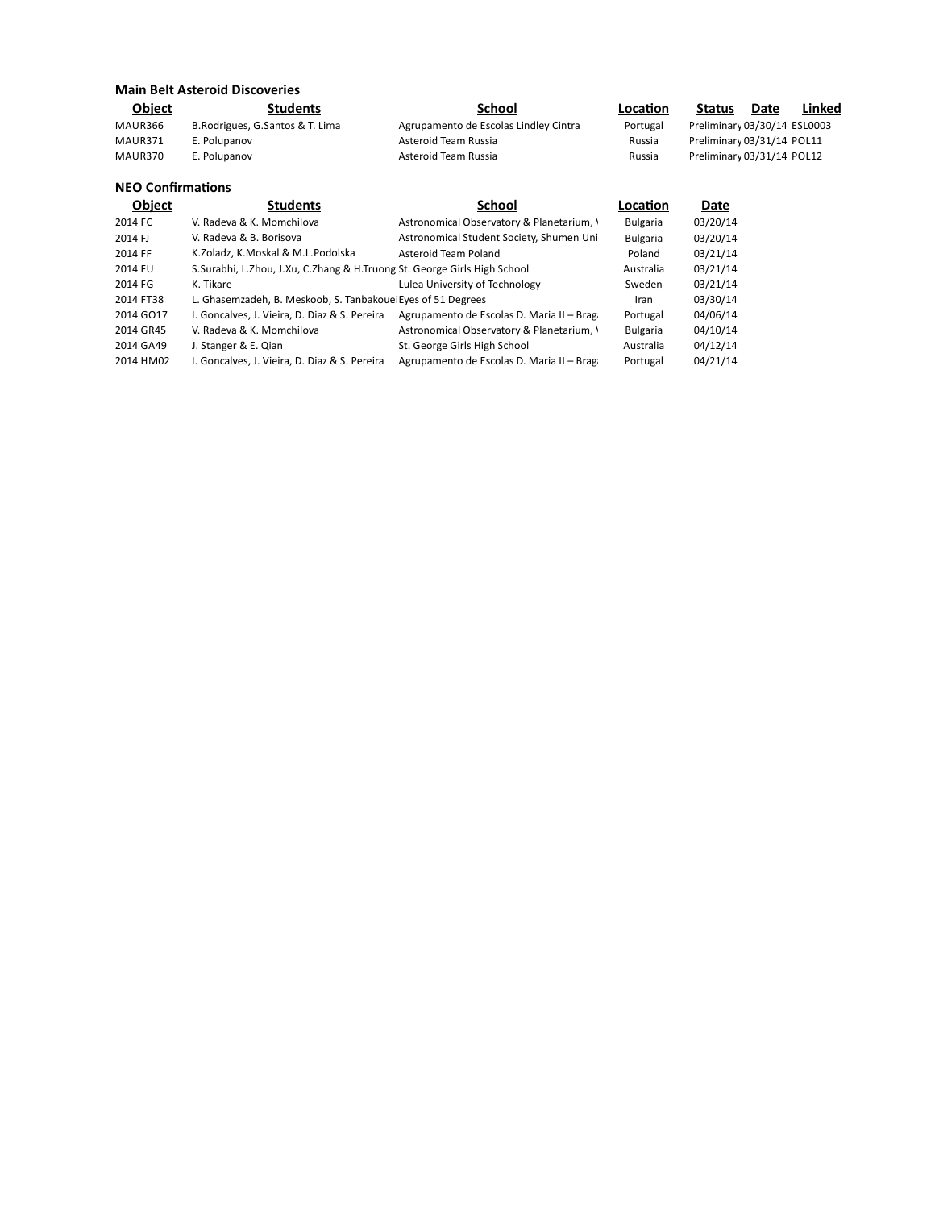| <b>Main Belt Asteroid Discoveries</b> |                                                                               |                                           |                 |                              |      |        |  |  |  |
|---------------------------------------|-------------------------------------------------------------------------------|-------------------------------------------|-----------------|------------------------------|------|--------|--|--|--|
| <b>Object</b>                         | <b>Students</b>                                                               | School                                    | Location        | Status                       | Date | Linked |  |  |  |
| MAUR366                               | B. Rodrigues, G. Santos & T. Lima                                             | Agrupamento de Escolas Lindley Cintra     | Portugal        | Preliminary 03/30/14 ESL0003 |      |        |  |  |  |
| MAUR371                               | E. Polupanov                                                                  | Asteroid Team Russia                      | Russia          | Preliminary 03/31/14 POL11   |      |        |  |  |  |
| MAUR370                               | E. Polupanov                                                                  | Asteroid Team Russia                      | Russia          | Preliminary 03/31/14 POL12   |      |        |  |  |  |
| <b>NEO Confirmations</b>              |                                                                               |                                           |                 |                              |      |        |  |  |  |
| <b>Object</b>                         | <b>Students</b>                                                               | <b>School</b>                             | Location        | Date                         |      |        |  |  |  |
| 2014 FC                               | V. Radeva & K. Momchilova                                                     | Astronomical Observatory & Planetarium, \ | <b>Bulgaria</b> | 03/20/14                     |      |        |  |  |  |
| 2014 FJ                               | V. Radeva & B. Borisova                                                       | Astronomical Student Society, Shumen Uni  | <b>Bulgaria</b> | 03/20/14                     |      |        |  |  |  |
| 2014 FF                               | K.Zoladz, K.Moskal & M.L.Podolska                                             | Asteroid Team Poland                      | Poland          | 03/21/14                     |      |        |  |  |  |
| 2014 FU                               | S. Surabhi, L. Zhou, J. Xu, C. Zhang & H. Truong St. George Girls High School |                                           | Australia       | 03/21/14                     |      |        |  |  |  |
| 2014 FG                               | K. Tikare                                                                     | Lulea University of Technology            | Sweden          | 03/21/14                     |      |        |  |  |  |
| 2014 FT38                             | L. Ghasemzadeh, B. Meskoob, S. Tanbakouei Eyes of 51 Degrees                  |                                           | Iran            | 03/30/14                     |      |        |  |  |  |
| 2014 GO17                             | I. Goncalves, J. Vieira, D. Diaz & S. Pereira                                 | Agrupamento de Escolas D. Maria II - Brag | Portugal        | 04/06/14                     |      |        |  |  |  |
| 2014 GR45                             | V. Radeva & K. Momchilova                                                     | Astronomical Observatory & Planetarium, \ | <b>Bulgaria</b> | 04/10/14                     |      |        |  |  |  |
| 2014 GA49                             | J. Stanger & E. Qian                                                          | St. George Girls High School              | Australia       | 04/12/14                     |      |        |  |  |  |
| 2014 HM02                             | I. Goncalves, J. Vieira, D. Diaz & S. Pereira                                 | Agrupamento de Escolas D. Maria II - Brag | Portugal        | 04/21/14                     |      |        |  |  |  |